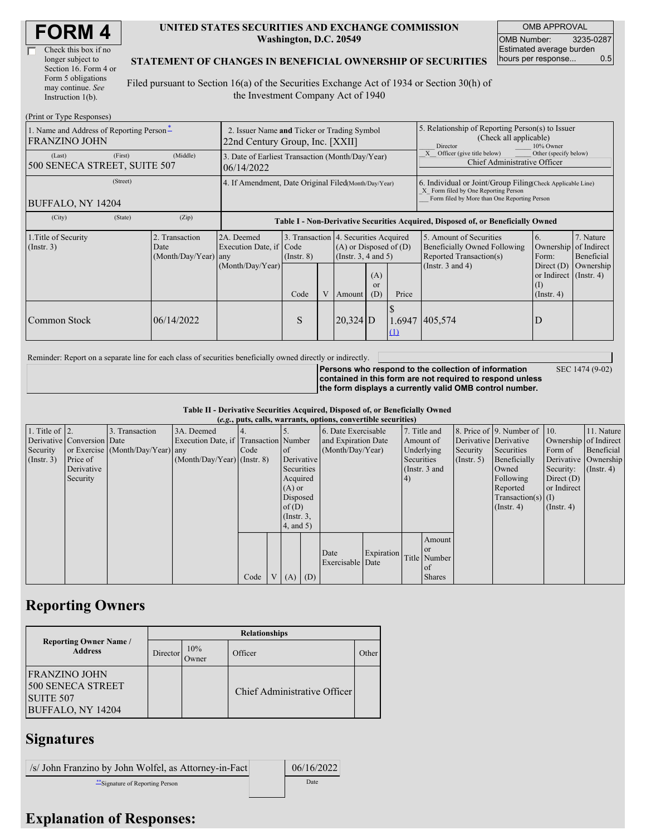| <b>FORM4</b> |
|--------------|
|--------------|

| Check this box if no  |
|-----------------------|
| longer subject to     |
| Section 16. Form 4 or |
| Form 5 obligations    |
| may continue. See     |
| Instruction $1(b)$ .  |

#### **UNITED STATES SECURITIES AND EXCHANGE COMMISSION Washington, D.C. 20549**

OMB APPROVAL OMB Number: 3235-0287 Estimated average burden hours per response... 0.5

SEC 1474 (9-02)

### **STATEMENT OF CHANGES IN BENEFICIAL OWNERSHIP OF SECURITIES**

Filed pursuant to Section 16(a) of the Securities Exchange Act of 1934 or Section 30(h) of the Investment Company Act of 1940

| (Print or Type Responses)                                        |                                                                                |                                       |                 |  |                                                                                             |                                                                                                                                                    |                                                                                                                                                                                            |                                                                                    |                                                                         |                         |  |
|------------------------------------------------------------------|--------------------------------------------------------------------------------|---------------------------------------|-----------------|--|---------------------------------------------------------------------------------------------|----------------------------------------------------------------------------------------------------------------------------------------------------|--------------------------------------------------------------------------------------------------------------------------------------------------------------------------------------------|------------------------------------------------------------------------------------|-------------------------------------------------------------------------|-------------------------|--|
| 1. Name and Address of Reporting Person-<br><b>FRANZINO JOHN</b> | 2. Issuer Name and Ticker or Trading Symbol<br>22nd Century Group, Inc. [XXII] |                                       |                 |  |                                                                                             |                                                                                                                                                    | 5. Relationship of Reporting Person(s) to Issuer<br>(Check all applicable)<br>10% Owner<br>Director<br>Other (specify below)<br>Officer (give title below)<br>Chief Administrative Officer |                                                                                    |                                                                         |                         |  |
| (First)<br>(Last)<br>500 SENECA STREET, SUITE 507                | 3. Date of Earliest Transaction (Month/Day/Year)<br>06/14/2022                 |                                       |                 |  |                                                                                             |                                                                                                                                                    |                                                                                                                                                                                            |                                                                                    |                                                                         |                         |  |
| (Street)<br>BUFFALO, NY 14204                                    | 4. If Amendment, Date Original Filed(Month/Day/Year)                           |                                       |                 |  |                                                                                             | 6. Individual or Joint/Group Filing Check Applicable Line)<br>X Form filed by One Reporting Person<br>Form filed by More than One Reporting Person |                                                                                                                                                                                            |                                                                                    |                                                                         |                         |  |
| (City)<br>(State)                                                | (Zip)                                                                          |                                       |                 |  |                                                                                             |                                                                                                                                                    |                                                                                                                                                                                            | Table I - Non-Derivative Securities Acquired, Disposed of, or Beneficially Owned   |                                                                         |                         |  |
| 1. Title of Security<br>(Insert. 3)                              | 2. Transaction<br>Date<br>(Month/Day/Year) any                                 | 2A. Deemed<br>Execution Date, if Code | $($ Instr. $8)$ |  | 3. Transaction 4. Securities Acquired<br>$(A)$ or Disposed of $(D)$<br>(Insert. 3, 4 and 5) |                                                                                                                                                    |                                                                                                                                                                                            | 5. Amount of Securities<br>Beneficially Owned Following<br>Reported Transaction(s) | 6.<br>Ownership of Indirect<br>Form:                                    | 7. Nature<br>Beneficial |  |
|                                                                  |                                                                                | (Month/Day/Year)                      | Code            |  | V Amount                                                                                    | (A)<br><sub>or</sub><br>(D)                                                                                                                        | Price                                                                                                                                                                                      | (Instr. $3$ and $4$ )                                                              | Direct $(D)$<br>or Indirect $($ Instr. 4 $)$<br>(I)<br>$($ Instr. 4 $)$ | Ownership               |  |
| Common Stock                                                     | 06/14/2022                                                                     |                                       | S               |  | $ 20,324 $ D                                                                                |                                                                                                                                                    | $\Omega$                                                                                                                                                                                   | 1.6947 405,574                                                                     | D                                                                       |                         |  |

Reminder: Report on a separate line for each class of securities beneficially owned directly or indirectly.

**Persons who respond to the collection of information contained in this form are not required to respond unless the form displays a currently valid OMB control number.**

**Table II - Derivative Securities Acquired, Disposed of, or Beneficially Owned**

|                        | (e.g., puts, calls, warrants, options, convertible securities) |                                  |                                       |      |  |                 |            |                     |               |              |               |              |                          |                       |            |
|------------------------|----------------------------------------------------------------|----------------------------------|---------------------------------------|------|--|-----------------|------------|---------------------|---------------|--------------|---------------|--------------|--------------------------|-----------------------|------------|
| 1. Title of $\vert$ 2. |                                                                | 3. Transaction                   | 3A. Deemed                            |      |  |                 |            | 6. Date Exercisable |               | 7. Title and |               |              | 8. Price of 9. Number of | $\vert$ 10.           | 11. Nature |
|                        | Derivative Conversion Date                                     |                                  | Execution Date, if Transaction Number |      |  |                 |            | and Expiration Date |               | Amount of    |               |              | Derivative Derivative    | Ownership of Indirect |            |
| Security               |                                                                | or Exercise (Month/Day/Year) any |                                       | Code |  | of              |            | (Month/Day/Year)    |               | Underlying   |               | Security     | Securities               | Form of               | Beneficial |
| $($ Instr. 3 $)$       | Price of                                                       |                                  | $(Month/Day/Year)$ (Instr. 8)         |      |  |                 | Derivative |                     | Securities    |              | $($ Instr. 5) | Beneficially | Derivative Ownership     |                       |            |
|                        | Derivative                                                     |                                  |                                       |      |  |                 | Securities |                     | (Instr. 3 and |              | Owned         | Security:    | $($ Instr. 4 $)$         |                       |            |
|                        | Security                                                       |                                  |                                       |      |  |                 | Acquired   |                     |               | <sup>4</sup> |               |              | Following                | Direct $(D)$          |            |
|                        |                                                                |                                  |                                       |      |  | $(A)$ or        |            |                     |               |              |               | Reported     | or Indirect              |                       |            |
|                        |                                                                |                                  |                                       |      |  | Disposed        |            |                     |               |              |               |              | Transaction(s) $(I)$     |                       |            |
|                        |                                                                |                                  |                                       |      |  | of $(D)$        |            |                     |               |              |               |              | $($ Instr. 4 $)$         | $($ Instr. 4 $)$      |            |
|                        |                                                                |                                  |                                       |      |  | $($ Instr. $3,$ |            |                     |               |              |               |              |                          |                       |            |
|                        |                                                                |                                  |                                       |      |  | (4, and 5)      |            |                     |               |              |               |              |                          |                       |            |
|                        |                                                                |                                  |                                       |      |  |                 |            |                     |               |              | Amount        |              |                          |                       |            |
|                        |                                                                |                                  |                                       |      |  |                 |            |                     |               |              | <b>or</b>     |              |                          |                       |            |
|                        |                                                                |                                  |                                       |      |  |                 |            | Date                | Expiration    |              | Title Number  |              |                          |                       |            |
|                        |                                                                |                                  |                                       |      |  |                 |            | Exercisable Date    |               |              | l of          |              |                          |                       |            |
|                        |                                                                |                                  |                                       | Code |  | V(A)            | (D)        |                     |               |              | <b>Shares</b> |              |                          |                       |            |

### **Reporting Owners**

|                                                                             | <b>Relationships</b>  |              |                                     |       |  |  |  |  |  |  |
|-----------------------------------------------------------------------------|-----------------------|--------------|-------------------------------------|-------|--|--|--|--|--|--|
| <b>Reporting Owner Name /</b><br><b>Address</b>                             | Director <sup>1</sup> | 10%<br>Owner | Officer                             | Other |  |  |  |  |  |  |
| <b>FRANZINO JOHN</b><br>500 SENECA STREET<br>SUITE 507<br>BUFFALO, NY 14204 |                       |              | <b>Chief Administrative Officer</b> |       |  |  |  |  |  |  |

## **Signatures**

/s/ John Franzino by John Wolfel, as Attorney-in-Fact 06/16/2022 \*\*Signature of Reporting Person Date

# **Explanation of Responses:**